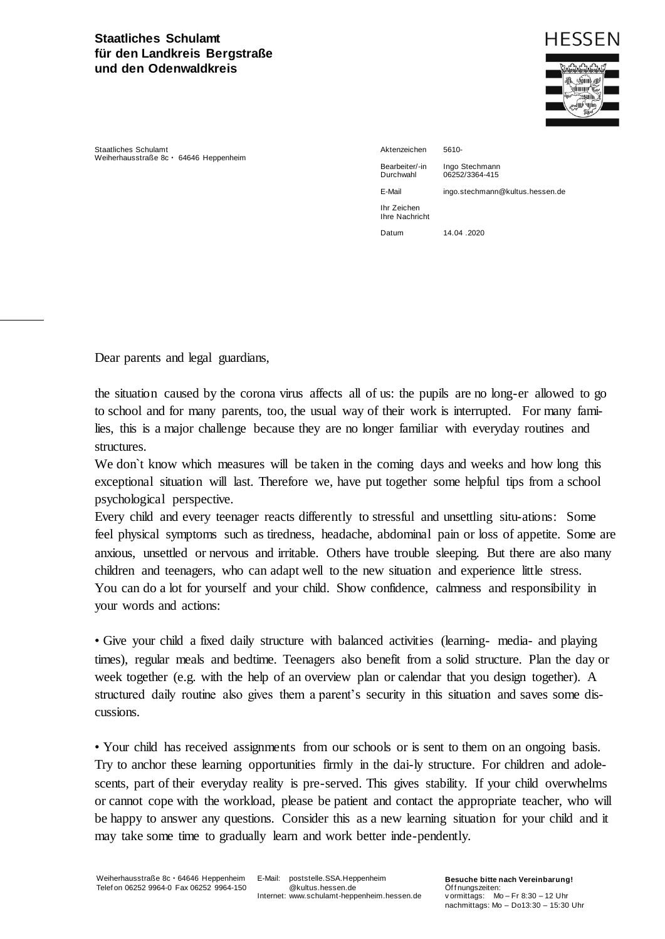## **Staatliches Schulamt für den Landkreis Bergstraße und den Odenwaldkreis**



Staatliches Schulamt Weiherhausstraße 8c · 64646 Heppenheim

Aktenzeichen 5610- Bearbeiter/-in Ingo Stechmann<br>Durchwahl 06252/3364-415 E-Mail ingo.stechmann@kultus.hessen.de Ihr Zeichen Ihre Nachricht Datum 14.04 2020

06252/3364-415

Dear parents and legal guardians,

the situation caused by the corona virus affects all of us: the pupils are no long-er allowed to go to school and for many parents, too, the usual way of their work is interrupted. For many families, this is a major challenge because they are no longer familiar with everyday routines and structures.

We don't know which measures will be taken in the coming days and weeks and how long this exceptional situation will last. Therefore we, have put together some helpful tips from a school psychological perspective.

Every child and every teenager reacts differently to stressful and unsettling situ-ations: Some feel physical symptoms such as tiredness, headache, abdominal pain or loss of appetite. Some are anxious, unsettled or nervous and irritable. Others have trouble sleeping. But there are also many children and teenagers, who can adapt well to the new situation and experience little stress. You can do a lot for yourself and your child. Show confidence, calmness and responsibility in your words and actions:

• Give your child a fixed daily structure with balanced activities (learning- media- and playing times), regular meals and bedtime. Teenagers also benefit from a solid structure. Plan the day or week together (e.g. with the help of an overview plan or calendar that you design together). A structured daily routine also gives them a parent's security in this situation and saves some discussions.

• Your child has received assignments from our schools or is sent to them on an ongoing basis. Try to anchor these learning opportunities firmly in the dai-ly structure. For children and adolescents, part of their everyday reality is pre-served. This gives stability. If your child overwhelms or cannot cope with the workload, please be patient and contact the appropriate teacher, who will be happy to answer any questions. Consider this as a new learning situation for your child and it may take some time to gradually learn and work better inde-pendently.